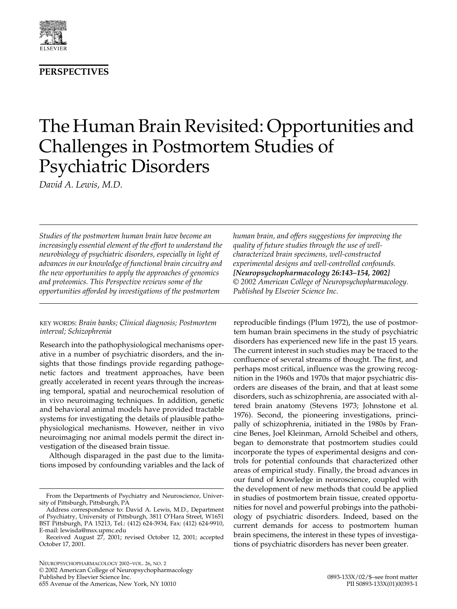

## **PERSPECTIVES**

# The Human Brain Revisited: Opportunities and Challenges in Postmortem Studies of Psychiatric Disorders

*David A. Lewis, M.D.*

*Studies of the postmortem human brain have become an increasingly essential element of the effort to understand the neurobiology of psychiatric disorders, especially in light of advances in our knowledge of functional brain circuitry and the new opportunities to apply the approaches of genomics and proteomics. This Perspective reviews some of the opportunities afforded by investigations of the postmortem* 

## KEY WORDS: *Brain banks; Clinical diagnosis; Postmortem interval; Schizophrenia*

Research into the pathophysiological mechanisms operative in a number of psychiatric disorders, and the insights that those findings provide regarding pathogenetic factors and treatment approaches, have been greatly accelerated in recent years through the increasing temporal, spatial and neurochemical resolution of in vivo neuroimaging techniques. In addition, genetic and behavioral animal models have provided tractable systems for investigating the details of plausible pathophysiological mechanisms. However, neither in vivo neuroimaging nor animal models permit the direct investigation of the diseased brain tissue.

Although disparaged in the past due to the limitations imposed by confounding variables and the lack of

NEUROPSYCHOPHARMACOLOGY 2002–VOL. 26, NO. 2 © 2002 American College of Neuropsychopharmacology Published by Elsevier Science Inc. The Content of the Americas, New York, NY 10010 (1893-133X/02/\$–see front matter of the Americas, New York, NY 10010 (1893-133X/01)00393-1 655 Avenue of the Americas, New York, NY 10010

*human brain, and offers suggestions for improving the quality of future studies through the use of wellcharacterized brain specimens, well-constructed experimental designs and well-controlled confounds. [Neuropsychopharmacology 26:143–154, 2002] © 2002 American College of Neuropsychopharmacology. Published by Elsevier Science Inc.*

reproducible findings (Plum 1972), the use of postmortem human brain specimens in the study of psychiatric disorders has experienced new life in the past 15 years. The current interest in such studies may be traced to the confluence of several streams of thought. The first, and perhaps most critical, influence was the growing recognition in the 1960s and 1970s that major psychiatric disorders are diseases of the brain, and that at least some disorders, such as schizophrenia, are associated with altered brain anatomy (Stevens 1973; Johnstone et al. 1976). Second, the pioneering investigations, principally of schizophrenia, initiated in the 1980s by Francine Benes, Joel Kleinman, Arnold Scheibel and others, began to demonstrate that postmortem studies could incorporate the types of experimental designs and controls for potential confounds that characterized other areas of empirical study. Finally, the broad advances in our fund of knowledge in neuroscience, coupled with the development of new methods that could be applied in studies of postmortem brain tissue, created opportunities for novel and powerful probings into the pathobiology of psychiatric disorders. Indeed, based on the current demands for access to postmortem human brain specimens, the interest in these types of investigations of psychiatric disorders has never been greater.

From the Departments of Psychiatry and Neuroscience, University of Pittsburgh, Pittsburgh, PA

Address correspondence to: David A. Lewis, M.D., Department of Psychiatry, University of Pittsburgh, 3811 O'Hara Street, W1651 BST Pittsburgh, PA 15213, Tel.: (412) 624-3934, Fax: (412) 624-9910, E-mail: lewisda@msx.upmc.edu

Received August 27, 2001; revised October 12, 2001; accepted October 17, 2001.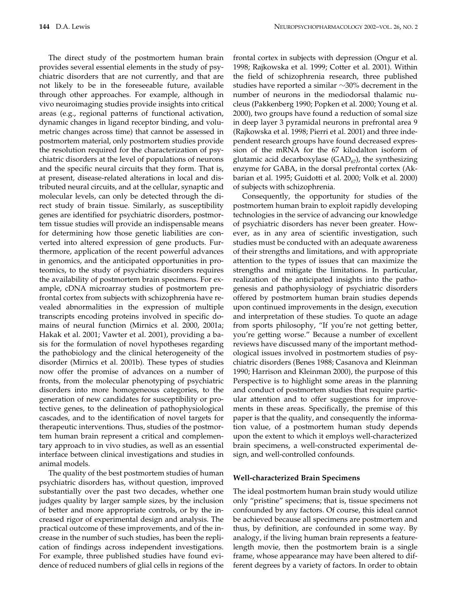The direct study of the postmortem human brain provides several essential elements in the study of psychiatric disorders that are not currently, and that are not likely to be in the foreseeable future, available through other approaches. For example, although in vivo neuroimaging studies provide insights into critical areas (e.g., regional patterns of functional activation, dynamic changes in ligand receptor binding, and volumetric changes across time) that cannot be assessed in postmortem material, only postmortem studies provide the resolution required for the characterization of psychiatric disorders at the level of populations of neurons and the specific neural circuits that they form. That is, at present, disease-related alterations in local and distributed neural circuits, and at the cellular, synaptic and molecular levels, can only be detected through the direct study of brain tissue. Similarly, as susceptibility genes are identified for psychiatric disorders, postmortem tissue studies will provide an indispensable means for determining how those genetic liabilities are converted into altered expression of gene products. Furthermore, application of the recent powerful advances in genomics, and the anticipated opportunities in proteomics, to the study of psychiatric disorders requires the availability of postmortem brain specimens. For example, cDNA microarray studies of postmortem prefrontal cortex from subjects with schizophrenia have revealed abnormalities in the expression of multiple transcripts encoding proteins involved in specific domains of neural function (Mirnics et al. 2000, 2001a; Hakak et al. 2001; Vawter et al. 2001), providing a basis for the formulation of novel hypotheses regarding the pathobiology and the clinical heterogeneity of the disorder (Mirnics et al. 2001b). These types of studies now offer the promise of advances on a number of fronts, from the molecular phenotyping of psychiatric disorders into more homogeneous categories, to the generation of new candidates for susceptibility or protective genes, to the delineation of pathophysiological cascades, and to the identification of novel targets for therapeutic interventions. Thus, studies of the postmortem human brain represent a critical and complementary approach to in vivo studies, as well as an essential interface between clinical investigations and studies in animal models.

The quality of the best postmortem studies of human psychiatric disorders has, without question, improved substantially over the past two decades, whether one judges quality by larger sample sizes, by the inclusion of better and more appropriate controls, or by the increased rigor of experimental design and analysis. The practical outcome of these improvements, and of the increase in the number of such studies, has been the replication of findings across independent investigations. For example, three published studies have found evidence of reduced numbers of glial cells in regions of the frontal cortex in subjects with depression (Ongur et al. 1998; Rajkowska et al. 1999; Cotter et al. 2001). Within the field of schizophrenia research, three published studies have reported a similar  $\sim$ 30% decrement in the number of neurons in the mediodorsal thalamic nucleus (Pakkenberg 1990; Popken et al. 2000; Young et al. 2000), two groups have found a reduction of somal size in deep layer 3 pyramidal neurons in prefrontal area 9 (Rajkowska et al. 1998; Pierri et al. 2001) and three independent research groups have found decreased expression of the mRNA for the 67 kilodalton isoform of glutamic acid decarboxylase (GAD $_{67}$ ), the synthesizing enzyme for GABA, in the dorsal prefrontal cortex (Akbarian et al. 1995; Guidotti et al. 2000; Volk et al. 2000) of subjects with schizophrenia.

Consequently, the opportunity for studies of the postmortem human brain to exploit rapidly developing technologies in the service of advancing our knowledge of psychiatric disorders has never been greater. However, as in any area of scientific investigation, such studies must be conducted with an adequate awareness of their strengths and limitations, and with appropriate attention to the types of issues that can maximize the strengths and mitigate the limitations. In particular, realization of the anticipated insights into the pathogenesis and pathophysiology of psychiatric disorders offered by postmortem human brain studies depends upon continued improvements in the design, execution and interpretation of these studies. To quote an adage from sports philosophy, "If you're not getting better, you're getting worse." Because a number of excellent reviews have discussed many of the important methodological issues involved in postmortem studies of psychiatric disorders (Benes 1988; Casanova and Kleinman 1990; Harrison and Kleinman 2000), the purpose of this Perspective is to highlight some areas in the planning and conduct of postmortem studies that require particular attention and to offer suggestions for improvements in these areas. Specifically, the premise of this paper is that the quality, and consequently the information value, of a postmortem human study depends upon the extent to which it employs well-characterized brain specimens, a well-constructed experimental design, and well-controlled confounds.

## **Well-characterized Brain Specimens**

The ideal postmortem human brain study would utilize only "pristine" specimens; that is, tissue specimens not confounded by any factors. Of course, this ideal cannot be achieved because all specimens are postmortem and thus, by definition, are confounded in some way. By analogy, if the living human brain represents a featurelength movie, then the postmortem brain is a single frame, whose appearance may have been altered to different degrees by a variety of factors. In order to obtain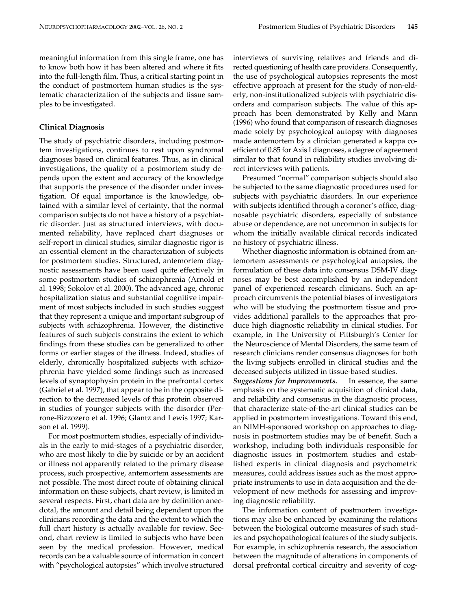meaningful information from this single frame, one has to know both how it has been altered and where it fits into the full-length film. Thus, a critical starting point in the conduct of postmortem human studies is the systematic characterization of the subjects and tissue samples to be investigated.

## **Clinical Diagnosis**

The study of psychiatric disorders, including postmortem investigations, continues to rest upon syndromal diagnoses based on clinical features. Thus, as in clinical investigations, the quality of a postmortem study depends upon the extent and accuracy of the knowledge that supports the presence of the disorder under investigation. Of equal importance is the knowledge, obtained with a similar level of certainty, that the normal comparison subjects do not have a history of a psychiatric disorder. Just as structured interviews, with documented reliability, have replaced chart diagnoses or self-report in clinical studies, similar diagnostic rigor is an essential element in the characterization of subjects for postmortem studies. Structured, antemortem diagnostic assessments have been used quite effectively in some postmortem studies of schizophrenia (Arnold et al. 1998; Sokolov et al. 2000). The advanced age, chronic hospitalization status and substantial cognitive impairment of most subjects included in such studies suggest that they represent a unique and important subgroup of subjects with schizophrenia. However, the distinctive features of such subjects constrains the extent to which findings from these studies can be generalized to other forms or earlier stages of the illness. Indeed, studies of elderly, chronically hospitalized subjects with schizophrenia have yielded some findings such as increased levels of synaptophysin protein in the prefrontal cortex (Gabriel et al. 1997), that appear to be in the opposite direction to the decreased levels of this protein observed in studies of younger subjects with the disorder (Perrone-Bizzozero et al. 1996; Glantz and Lewis 1997; Karson et al. 1999).

For most postmortem studies, especially of individuals in the early to mid-stages of a psychiatric disorder, who are most likely to die by suicide or by an accident or illness not apparently related to the primary disease process, such prospective, antemortem assessments are not possible. The most direct route of obtaining clinical information on these subjects, chart review, is limited in several respects. First, chart data are by definition anecdotal, the amount and detail being dependent upon the clinicians recording the data and the extent to which the full chart history is actually available for review. Second, chart review is limited to subjects who have been seen by the medical profession. However, medical records can be a valuable source of information in concert with "psychological autopsies" which involve structured interviews of surviving relatives and friends and directed questioning of health care providers. Consequently, the use of psychological autopsies represents the most effective approach at present for the study of non-elderly, non-institutionalized subjects with psychiatric disorders and comparison subjects. The value of this approach has been demonstrated by Kelly and Mann (1996) who found that comparison of research diagnoses made solely by psychological autopsy with diagnoses made antemortem by a clinician generated a kappa coefficient of 0.85 for Axis I diagnoses, a degree of agreement similar to that found in reliability studies involving direct interviews with patients.

Presumed "normal" comparison subjects should also be subjected to the same diagnostic procedures used for subjects with psychiatric disorders. In our experience with subjects identified through a coroner's office, diagnosable psychiatric disorders, especially of substance abuse or dependence, are not uncommon in subjects for whom the initially available clinical records indicated no history of psychiatric illness.

Whether diagnostic information is obtained from antemortem assessments or psychological autopsies, the formulation of these data into consensus DSM-IV diagnoses may be best accomplished by an independent panel of experienced research clinicians. Such an approach circumvents the potential biases of investigators who will be studying the postmortem tissue and provides additional parallels to the approaches that produce high diagnostic reliability in clinical studies. For example, in The University of Pittsburgh's Center for the Neuroscience of Mental Disorders, the same team of research clinicians render consensus diagnoses for both the living subjects enrolled in clinical studies and the deceased subjects utilized in tissue-based studies.

*Suggestions for Improvements.* In essence, the same emphasis on the systematic acquisition of clinical data, and reliability and consensus in the diagnostic process, that characterize state-of-the-art clinical studies can be applied in postmortem investigations. Toward this end, an NIMH-sponsored workshop on approaches to diagnosis in postmortem studies may be of benefit. Such a workshop, including both individuals responsible for diagnostic issues in postmortem studies and established experts in clinical diagnosis and psychometric measures, could address issues such as the most appropriate instruments to use in data acquisition and the development of new methods for assessing and improving diagnostic reliability.

The information content of postmortem investigations may also be enhanced by examining the relations between the biological outcome measures of such studies and psychopathological features of the study subjects. For example, in schizophrenia research, the association between the magnitude of alterations in components of dorsal prefrontal cortical circuitry and severity of cog-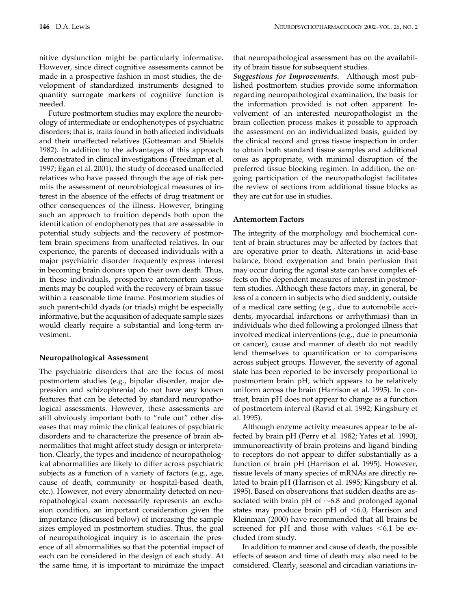nitive dysfunction might be particularly informative. However, since direct cognitive assessments cannot be made in a prospective fashion in most studies, the development of standardized instruments designed to quantify surrogate markers of cognitive function is needed.

Future postmortem studies may explore the neurobiology of intermediate or endophenotypes of psychiatric disorders; that is, traits found in both affected individuals and their unaffected relatives (Gottesman and Shields 1982). In addition to the advantages of this approach demonstrated in clinical investigations (Freedman et al. 1997; Egan et al. 2001), the study of deceased unaffected relatives who have passed through the age of risk permits the assessment of neurobiological measures of interest in the absence of the effects of drug treatment or other consequences of the illness. However, bringing such an approach to fruition depends both upon the identification of endophenotypes that are assessable in potential study subjects and the recovery of postmortem brain specimens from unaffected relatives. In our experience, the parents of deceased individuals with a major psychiatric disorder frequently express interest in becoming brain donors upon their own death. Thus, in these individuals, prospective antemortem assessments may be coupled with the recovery of brain tissue within a reasonable time frame. Postmortem studies of such parent-child dyads (or triads) might be especially informative, but the acquisition of adequate sample sizes would clearly require a substantial and long-term investment.

### **Neuropathological Assessment**

The psychiatric disorders that are the focus of most postmortem studies (e.g., bipolar disorder, major depression and schizophrenia) do not have any known features that can be detected by standard neuropathological assessments. However, these assessments are still obviously important both to "rule out" other diseases that may mimic the clinical features of psychiatric disorders and to characterize the presence of brain abnormalities that might affect study design or interpretation. Clearly, the types and incidence of neuropathological abnormalities are likely to differ across psychiatric subjects as a function of a variety of factors (e.g., age, cause of death, community or hospital-based death, etc.). However, not every abnormality detected on neuropathological exam necessarily represents an exclusion condition, an important consideration given the importance (discussed below) of increasing the sample sizes employed in postmortem studies. Thus, the goal of neuropathological inquiry is to ascertain the presence of all abnormalities so that the potential impact of each can be considered in the design of each study. At the same time, it is important to minimize the impact

that neuropathological assessment has on the availability of brain tissue for subsequent studies.

*Suggestions for Improvements.* Although most published postmortem studies provide some information regarding neuropathological examination, the basis for the information provided is not often apparent. Involvement of an interested neuropathologist in the brain collection process makes it possible to approach the assessment on an individualized basis, guided by the clinical record and gross tissue inspection in order to obtain both standard tissue samples and additional ones as appropriate, with minimal disruption of the preferred tissue blocking regimen. In addition, the ongoing participation of the neuropathologist facilitates the review of sections from additional tissue blocks as they are cut for use in studies.

## **Antemortem Factors**

The integrity of the morphology and biochemical content of brain structures may be affected by factors that are operative prior to death. Alterations in acid-base balance, blood oxygenation and brain perfusion that may occur during the agonal state can have complex effects on the dependent measures of interest in postmortem studies. Although these factors may, in general, be less of a concern in subjects who died suddenly, outside of a medical care setting (e.g., due to automobile accidents, myocardial infarctions or arrhythmias) than in individuals who died following a prolonged illness that involved medical interventions (e.g., due to pneumonia or cancer), cause and manner of death do not readily lend themselves to quantification or to comparisons across subject groups. However, the severity of agonal state has been reported to be inversely proportional to postmortem brain pH, which appears to be relatively uniform across the brain (Harrison et al. 1995). In contrast, brain pH does not appear to change as a function of postmortem interval (Ravid et al. 1992; Kingsbury et al. 1995).

Although enzyme activity measures appear to be affected by brain pH (Perry et al. 1982; Yates et al. 1990), immunoreactivity of brain proteins and ligand binding to receptors do not appear to differ substantially as a function of brain pH (Harrison et al. 1995). However, tissue levels of many species of mRNAs are directly related to brain pH (Harrison et al. 1995; Kingsbury et al. 1995). Based on observations that sudden deaths are associated with brain pH of  $\sim$ 6.8 and prolonged agonal states may produce brain pH of  $<$ 6.0, Harrison and Kleinman (2000) have recommended that all brains be screened for pH and those with values  $\leq 6.1$  be excluded from study.

In addition to manner and cause of death, the possible effects of season and time of death may also need to be considered. Clearly, seasonal and circadian variations in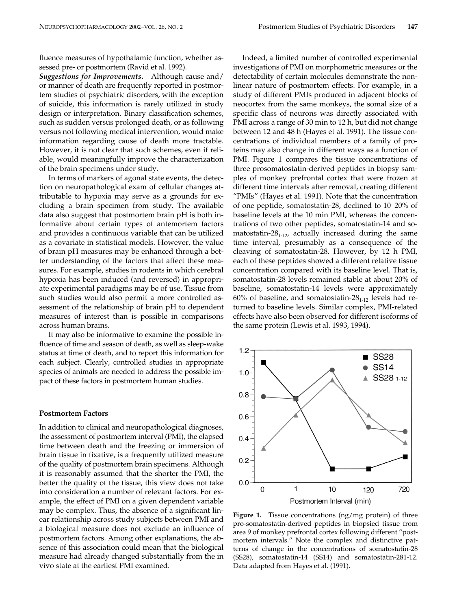fluence measures of hypothalamic function, whether assessed pre- or postmortem (Ravid et al. 1992).

*Suggestions for Improvements.* Although cause and/ or manner of death are frequently reported in postmortem studies of psychiatric disorders, with the exception of suicide, this information is rarely utilized in study design or interpretation. Binary classification schemes, such as sudden versus prolonged death, or as following versus not following medical intervention, would make information regarding cause of death more tractable. However, it is not clear that such schemes, even if reliable, would meaningfully improve the characterization of the brain specimens under study.

In terms of markers of agonal state events, the detection on neuropathological exam of cellular changes attributable to hypoxia may serve as a grounds for excluding a brain specimen from study. The available data also suggest that postmortem brain pH is both informative about certain types of antemortem factors and provides a continuous variable that can be utilized as a covariate in statistical models. However, the value of brain pH measures may be enhanced through a better understanding of the factors that affect these measures. For example, studies in rodents in which cerebral hypoxia has been induced (and reversed) in appropriate experimental paradigms may be of use. Tissue from such studies would also permit a more controlled assessment of the relationship of brain pH to dependent measures of interest than is possible in comparisons across human brains.

It may also be informative to examine the possible influence of time and season of death, as well as sleep-wake status at time of death, and to report this information for each subject. Clearly, controlled studies in appropriate species of animals are needed to address the possible impact of these factors in postmortem human studies.

## **Postmortem Factors**

In addition to clinical and neuropathological diagnoses, the assessment of postmortem interval (PMI), the elapsed time between death and the freezing or immersion of brain tissue in fixative, is a frequently utilized measure of the quality of postmortem brain specimens. Although it is reasonably assumed that the shorter the PMI, the better the quality of the tissue, this view does not take into consideration a number of relevant factors. For example, the effect of PMI on a given dependent variable may be complex. Thus, the absence of a significant linear relationship across study subjects between PMI and a biological measure does not exclude an influence of postmortem factors. Among other explanations, the absence of this association could mean that the biological measure had already changed substantially from the in vivo state at the earliest PMI examined.

Indeed, a limited number of controlled experimental investigations of PMI on morphometric measures or the detectability of certain molecules demonstrate the nonlinear nature of postmortem effects. For example, in a study of different PMIs produced in adjacent blocks of neocortex from the same monkeys, the somal size of a specific class of neurons was directly associated with PMI across a range of 30 min to 12 h, but did not change between 12 and 48 h (Hayes et al. 1991). The tissue concentrations of individual members of a family of proteins may also change in different ways as a function of PMI. Figure 1 compares the tissue concentrations of three prosomatostatin-derived peptides in biopsy samples of monkey prefrontal cortex that were frozen at different time intervals after removal, creating different "PMIs" (Hayes et al. 1991). Note that the concentration of one peptide, somatostatin-28, declined to 10–20% of baseline levels at the 10 min PMI, whereas the concentrations of two other peptides, somatostatin-14 and somatostatin-2 $8<sub>1-12</sub>$ , actually increased during the same time interval, presumably as a consequence of the cleaving of somatostatin-28. However, by 12 h PMI, each of these peptides showed a different relative tissue concentration compared with its baseline level. That is, somatostatin-28 levels remained stable at about 20% of baseline, somatostatin-14 levels were approximately 60% of baseline, and somatostatin-28<sub>1-12</sub> levels had returned to baseline levels. Similar complex, PMI-related effects have also been observed for different isoforms of the same protein (Lewis et al. 1993, 1994).



**Figure 1.** Tissue concentrations (ng/mg protein) of three pro-somatostatin-derived peptides in biopsied tissue from area 9 of monkey prefrontal cortex following different "postmortem intervals." Note the complex and distinctive patterns of change in the concentrations of somatostatin-28 (SS28), somatostatin-14 (SS14) and somatostatin-281-12. Data adapted from Hayes et al. (1991).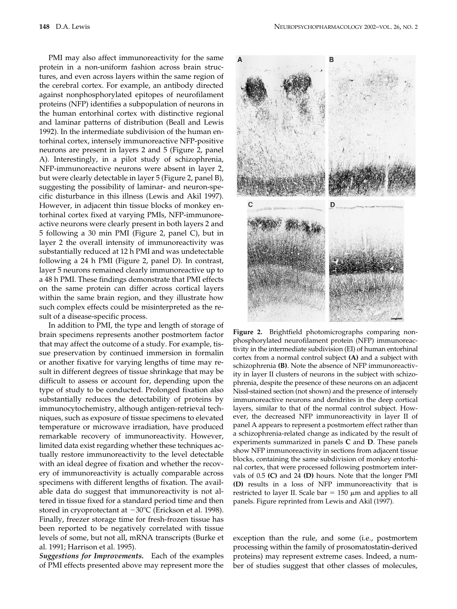PMI may also affect immunoreactivity for the same protein in a non-uniform fashion across brain structures, and even across layers within the same region of the cerebral cortex. For example, an antibody directed against nonphosphorylated epitopes of neurofilament proteins (NFP) identifies a subpopulation of neurons in the human entorhinal cortex with distinctive regional and laminar patterns of distribution (Beall and Lewis 1992). In the intermediate subdivision of the human entorhinal cortex, intensely immunoreactive NFP-positive neurons are present in layers 2 and 5 (Figure 2, panel A). Interestingly, in a pilot study of schizophrenia, NFP-immunoreactive neurons were absent in layer 2, but were clearly detectable in layer 5 (Figure 2, panel B), suggesting the possibility of laminar- and neuron-specific disturbance in this illness (Lewis and Akil 1997). However, in adjacent thin tissue blocks of monkey entorhinal cortex fixed at varying PMIs, NFP-immunoreactive neurons were clearly present in both layers 2 and 5 following a 30 min PMI (Figure 2, panel C), but in layer 2 the overall intensity of immunoreactivity was substantially reduced at 12 h PMI and was undetectable following a 24 h PMI (Figure 2, panel D). In contrast, layer 5 neurons remained clearly immunoreactive up to a 48 h PMI. These findings demonstrate that PMI effects on the same protein can differ across cortical layers within the same brain region, and they illustrate how such complex effects could be misinterpreted as the result of a disease-specific process.

In addition to PMI, the type and length of storage of brain specimens represents another postmortem factor that may affect the outcome of a study. For example, tissue preservation by continued immersion in formalin or another fixative for varying lengths of time may result in different degrees of tissue shrinkage that may be difficult to assess or account for, depending upon the type of study to be conducted. Prolonged fixation also substantially reduces the detectability of proteins by immunocytochemistry, although antigen-retrieval techniques, such as exposure of tissue specimens to elevated temperature or microwave irradiation, have produced remarkable recovery of immunoreactivity. However, limited data exist regarding whether these techniques actually restore immunoreactivity to the level detectable with an ideal degree of fixation and whether the recovery of immunoreactivity is actually comparable across specimens with different lengths of fixation. The available data do suggest that immunoreactivity is not altered in tissue fixed for a standard period time and then stored in cryoprotectant at  $-30^{\circ}$ C (Erickson et al. 1998). Finally, freezer storage time for fresh-frozen tissue has been reported to be negatively correlated with tissue levels of some, but not all, mRNA transcripts (Burke et al. 1991; Harrison et al. 1995).

*Suggestions for Improvements.* Each of the examples of PMI effects presented above may represent more the



**Figure 2.** Brightfield photomicrographs comparing nonphosphorylated neurofilament protein (NFP) immunoreactivity in the intermediate subdivision (EI) of human entorhinal cortex from a normal control subject **(A)** and a subject with schizophrenia **(B)**. Note the absence of NFP immunoreactivity in layer II clusters of neurons in the subject with schizophrenia, despite the presence of these neurons on an adjacent Nissl-stained section (not shown) and the presence of intensely immunoreactive neurons and dendrites in the deep cortical layers, similar to that of the normal control subject. However, the decreased NFP immunoreactivity in layer II of panel A appears to represent a postmortem effect rather than a schizophrenia-related change as indicated by the result of experiments summarized in panels **C** and **D**. These panels show NFP immunoreactivity in sections from adjacent tissue blocks, containing the same subdivision of monkey entorhinal cortex, that were processed following postmortem intervals of 0.5 **(C)** and 24 **(D)** hours. Note that the longer PMI **(D)** results in a loss of NFP immunoreactivity that is restricted to layer II. Scale bar  $= 150 \mu m$  and applies to all panels. Figure reprinted from Lewis and Akil (1997).

exception than the rule, and some (i.e., postmortem processing within the family of prosomatostatin-derived proteins) may represent extreme cases. Indeed, a number of studies suggest that other classes of molecules,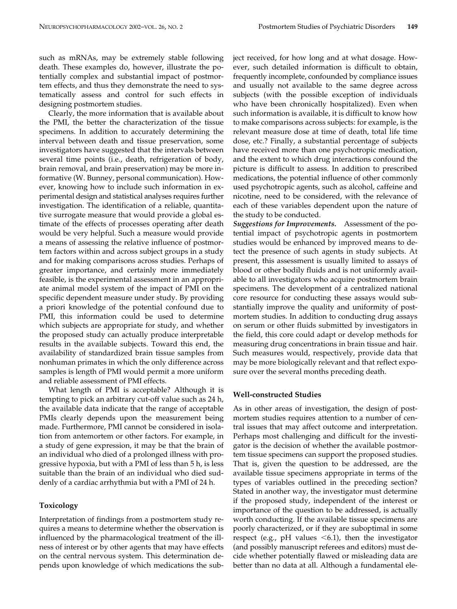such as mRNAs, may be extremely stable following death. These examples do, however, illustrate the potentially complex and substantial impact of postmortem effects, and thus they demonstrate the need to systematically assess and control for such effects in designing postmortem studies.

Clearly, the more information that is available about the PMI, the better the characterization of the tissue specimens. In addition to accurately determining the interval between death and tissue preservation, some investigators have suggested that the intervals between several time points (i.e., death, refrigeration of body, brain removal, and brain preservation) may be more informative (W. Bunney, personal communication). However, knowing how to include such information in experimental design and statistical analyses requires further investigation. The identification of a reliable, quantitative surrogate measure that would provide a global estimate of the effects of processes operating after death would be very helpful. Such a measure would provide a means of assessing the relative influence of postmortem factors within and across subject groups in a study and for making comparisons across studies. Perhaps of greater importance, and certainly more immediately feasible, is the experimental assessment in an appropriate animal model system of the impact of PMI on the specific dependent measure under study. By providing a priori knowledge of the potential confound due to PMI, this information could be used to determine which subjects are appropriate for study, and whether the proposed study can actually produce interpretable results in the available subjects. Toward this end, the availability of standardized brain tissue samples from nonhuman primates in which the only difference across samples is length of PMI would permit a more uniform and reliable assessment of PMI effects.

What length of PMI is acceptable? Although it is tempting to pick an arbitrary cut-off value such as 24 h, the available data indicate that the range of acceptable PMIs clearly depends upon the measurement being made. Furthermore, PMI cannot be considered in isolation from antemortem or other factors. For example, in a study of gene expression, it may be that the brain of an individual who died of a prolonged illness with progressive hypoxia, but with a PMI of less than 5 h, is less suitable than the brain of an individual who died suddenly of a cardiac arrhythmia but with a PMI of 24 h.

### **Toxicology**

Interpretation of findings from a postmortem study requires a means to determine whether the observation is influenced by the pharmacological treatment of the illness of interest or by other agents that may have effects on the central nervous system. This determination depends upon knowledge of which medications the subject received, for how long and at what dosage. However, such detailed information is difficult to obtain, frequently incomplete, confounded by compliance issues and usually not available to the same degree across subjects (with the possible exception of individuals who have been chronically hospitalized). Even when such information is available, it is difficult to know how to make comparisons across subjects: for example, is the relevant measure dose at time of death, total life time dose, etc.? Finally, a substantial percentage of subjects have received more than one psychotropic medication, and the extent to which drug interactions confound the picture is difficult to assess. In addition to prescribed medications, the potential influence of other commonly used psychotropic agents, such as alcohol, caffeine and nicotine, need to be considered, with the relevance of each of these variables dependent upon the nature of the study to be conducted.

*Suggestions for Improvements.* Assessment of the potential impact of psychotropic agents in postmortem studies would be enhanced by improved means to detect the presence of such agents in study subjects. At present, this assessment is usually limited to assays of blood or other bodily fluids and is not uniformly available to all investigators who acquire postmortem brain specimens. The development of a centralized national core resource for conducting these assays would substantially improve the quality and uniformity of postmortem studies. In addition to conducting drug assays on serum or other fluids submitted by investigators in the field, this core could adapt or develop methods for measuring drug concentrations in brain tissue and hair. Such measures would, respectively, provide data that may be more biologically relevant and that reflect exposure over the several months preceding death.

### **Well-constructed Studies**

As in other areas of investigation, the design of postmortem studies requires attention to a number of central issues that may affect outcome and interpretation. Perhaps most challenging and difficult for the investigator is the decision of whether the available postmortem tissue specimens can support the proposed studies. That is, given the question to be addressed, are the available tissue specimens appropriate in terms of the types of variables outlined in the preceding section? Stated in another way, the investigator must determine if the proposed study, independent of the interest or importance of the question to be addressed, is actually worth conducting. If the available tissue specimens are poorly characterized, or if they are suboptimal in some respect (e.g., pH values  $\leq 6.1$ ), then the investigator (and possibly manuscript referees and editors) must decide whether potentially flawed or misleading data are better than no data at all. Although a fundamental ele-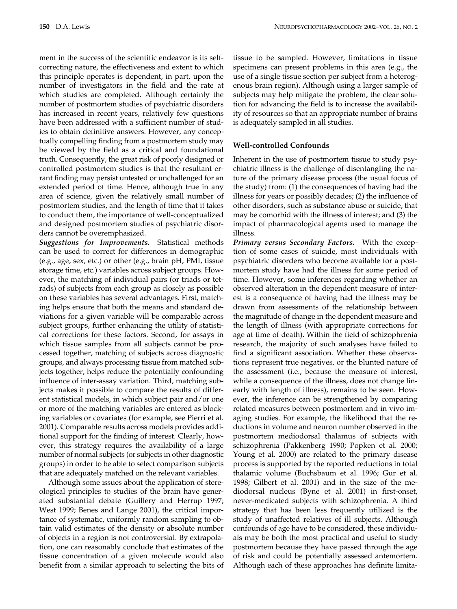ment in the success of the scientific endeavor is its selfcorrecting nature, the effectiveness and extent to which this principle operates is dependent, in part, upon the number of investigators in the field and the rate at which studies are completed. Although certainly the number of postmortem studies of psychiatric disorders has increased in recent years, relatively few questions have been addressed with a sufficient number of studies to obtain definitive answers. However, any conceptually compelling finding from a postmortem study may be viewed by the field as a critical and foundational truth. Consequently, the great risk of poorly designed or controlled postmortem studies is that the resultant errant finding may persist untested or unchallenged for an extended period of time. Hence, although true in any area of science, given the relatively small number of postmortem studies, and the length of time that it takes to conduct them, the importance of well-conceptualized and designed postmortem studies of psychiatric disorders cannot be overemphasized.

*Suggestions for Improvements.* Statistical methods can be used to correct for differences in demographic (e.g., age, sex, etc.) or other (e.g., brain pH, PMI, tissue storage time, etc.) variables across subject groups. However, the matching of individual pairs (or triads or tetrads) of subjects from each group as closely as possible on these variables has several advantages. First, matching helps ensure that both the means and standard deviations for a given variable will be comparable across subject groups, further enhancing the utility of statistical corrections for these factors. Second, for assays in which tissue samples from all subjects cannot be processed together, matching of subjects across diagnostic groups, and always processing tissue from matched subjects together, helps reduce the potentially confounding influence of inter-assay variation. Third, matching subjects makes it possible to compare the results of different statistical models, in which subject pair and/or one or more of the matching variables are entered as blocking variables or covariates (for example, see Pierri et al. 2001). Comparable results across models provides additional support for the finding of interest. Clearly, however, this strategy requires the availability of a large number of normal subjects (or subjects in other diagnostic groups) in order to be able to select comparison subjects that are adequately matched on the relevant variables.

Although some issues about the application of stereological principles to studies of the brain have generated substantial debate (Guillery and Herrup 1997; West 1999; Benes and Lange 2001), the critical importance of systematic, uniformly random sampling to obtain valid estimates of the density or absolute number of objects in a region is not controversial. By extrapolation, one can reasonably conclude that estimates of the tissue concentration of a given molecule would also benefit from a similar approach to selecting the bits of tissue to be sampled. However, limitations in tissue specimens can present problems in this area (e.g., the use of a single tissue section per subject from a heterogenous brain region). Although using a larger sample of subjects may help mitigate the problem, the clear solution for advancing the field is to increase the availability of resources so that an appropriate number of brains is adequately sampled in all studies.

## **Well-controlled Confounds**

Inherent in the use of postmortem tissue to study psychiatric illness is the challenge of disentangling the nature of the primary disease process (the usual focus of the study) from: (1) the consequences of having had the illness for years or possibly decades; (2) the influence of other disorders, such as substance abuse or suicide, that may be comorbid with the illness of interest; and (3) the impact of pharmacological agents used to manage the illness.

*Primary versus Secondary Factors.* With the exception of some cases of suicide, most individuals with psychiatric disorders who become available for a postmortem study have had the illness for some period of time. However, some inferences regarding whether an observed alteration in the dependent measure of interest is a consequence of having had the illness may be drawn from assessments of the relationship between the magnitude of change in the dependent measure and the length of illness (with appropriate corrections for age at time of death). Within the field of schizophrenia research, the majority of such analyses have failed to find a significant association. Whether these observations represent true negatives, or the blunted nature of the assessment (i.e., because the measure of interest, while a consequence of the illness, does not change linearly with length of illness), remains to be seen. However, the inference can be strengthened by comparing related measures between postmortem and in vivo imaging studies. For example, the likelihood that the reductions in volume and neuron number observed in the postmortem mediodorsal thalamus of subjects with schizophrenia (Pakkenberg 1990; Popken et al. 2000; Young et al. 2000) are related to the primary disease process is supported by the reported reductions in total thalamic volume (Buchsbaum et al. 1996; Gur et al. 1998; Gilbert et al. 2001) and in the size of the mediodorsal nucleus (Byne et al. 2001) in first-onset, never-medicated subjects with schizophrenia. A third strategy that has been less frequently utilized is the study of unaffected relatives of ill subjects. Although confounds of age have to be considered, these individuals may be both the most practical and useful to study postmortem because they have passed through the age of risk and could be potentially assessed antemortem. Although each of these approaches has definite limita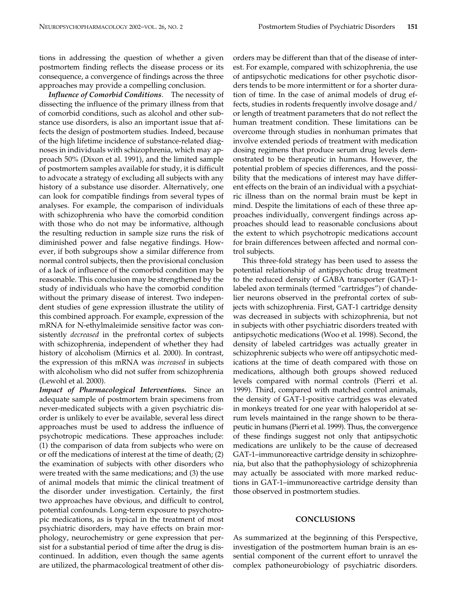tions in addressing the question of whether a given postmortem finding reflects the disease process or its consequence, a convergence of findings across the three approaches may provide a compelling conclusion.

*Influence of Comorbid Conditions*. The necessity of dissecting the influence of the primary illness from that of comorbid conditions, such as alcohol and other substance use disorders, is also an important issue that affects the design of postmortem studies. Indeed, because of the high lifetime incidence of substance-related diagnoses in individuals with schizophrenia, which may approach 50% (Dixon et al. 1991), and the limited sample of postmortem samples available for study, it is difficult to advocate a strategy of excluding all subjects with any history of a substance use disorder. Alternatively, one can look for compatible findings from several types of analyses. For example, the comparison of individuals with schizophrenia who have the comorbid condition with those who do not may be informative, although the resulting reduction in sample size runs the risk of diminished power and false negative findings. However, if both subgroups show a similar difference from normal control subjects, then the provisional conclusion of a lack of influence of the comorbid condition may be reasonable. This conclusion may be strengthened by the study of individuals who have the comorbid condition without the primary disease of interest. Two independent studies of gene expression illustrate the utility of this combined approach. For example, expression of the mRNA for N-ethylmaleimide sensitive factor was consistently *decreased* in the prefrontal cortex of subjects with schizophrenia, independent of whether they had history of alcoholism (Mirnics et al. 2000). In contrast, the expression of this mRNA was *increased* in subjects with alcoholism who did not suffer from schizophrenia (Lewohl et al. 2000).

*Impact of Pharmacological Interventions.* Since an adequate sample of postmortem brain specimens from never-medicated subjects with a given psychiatric disorder is unlikely to ever be available, several less direct approaches must be used to address the influence of psychotropic medications. These approaches include: (1) the comparison of data from subjects who were on or off the medications of interest at the time of death; (2) the examination of subjects with other disorders who were treated with the same medications; and (3) the use of animal models that mimic the clinical treatment of the disorder under investigation. Certainly, the first two approaches have obvious, and difficult to control, potential confounds. Long-term exposure to psychotropic medications, as is typical in the treatment of most psychiatric disorders, may have effects on brain morphology, neurochemistry or gene expression that persist for a substantial period of time after the drug is discontinued. In addition, even though the same agents are utilized, the pharmacological treatment of other disorders may be different than that of the disease of interest. For example, compared with schizophrenia, the use of antipsychotic medications for other psychotic disorders tends to be more intermittent or for a shorter duration of time. In the case of animal models of drug effects, studies in rodents frequently involve dosage and/ or length of treatment parameters that do not reflect the human treatment condition. These limitations can be overcome through studies in nonhuman primates that involve extended periods of treatment with medication dosing regimens that produce serum drug levels demonstrated to be therapeutic in humans. However, the potential problem of species differences, and the possibility that the medications of interest may have different effects on the brain of an individual with a psychiatric illness than on the normal brain must be kept in mind. Despite the limitations of each of these three approaches individually, convergent findings across approaches should lead to reasonable conclusions about the extent to which psychotropic medications account for brain differences between affected and normal control subjects.

This three-fold strategy has been used to assess the potential relationship of antipsychotic drug treatment to the reduced density of GABA transporter (GAT)-1 labeled axon terminals (termed "cartridges") of chandelier neurons observed in the prefrontal cortex of subjects with schizophrenia. First, GAT-1 cartridge density was decreased in subjects with schizophrenia, but not in subjects with other psychiatric disorders treated with antipsychotic medications (Woo et al. 1998). Second, the density of labeled cartridges was actually greater in schizophrenic subjects who were off antipsychotic medications at the time of death compared with those on medications, although both groups showed reduced levels compared with normal controls (Pierri et al. 1999). Third, compared with matched control animals, the density of GAT-1-positive cartridges was elevated in monkeys treated for one year with haloperidol at serum levels maintained in the range shown to be therapeutic in humans (Pierri et al. 1999). Thus, the convergence of these findings suggest not only that antipsychotic medications are unlikely to be the cause of decreased GAT-1–immunoreactive cartridge density in schizophrenia, but also that the pathophysiology of schizophrenia may actually be associated with more marked reductions in GAT-1–immunoreactive cartridge density than those observed in postmortem studies.

### **CONCLUSIONS**

As summarized at the beginning of this Perspective, investigation of the postmortem human brain is an essential component of the current effort to unravel the complex pathoneurobiology of psychiatric disorders.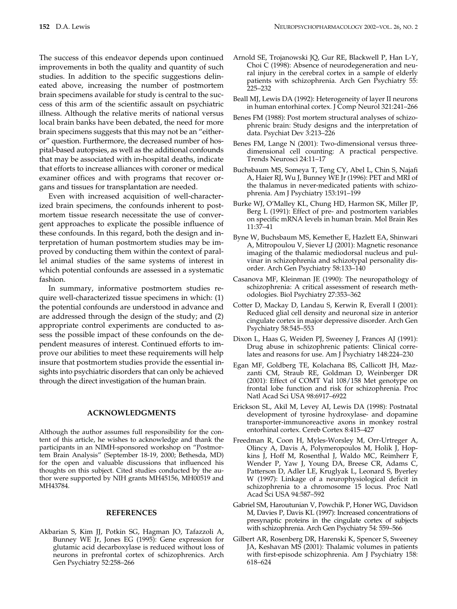The success of this endeavor depends upon continued improvements in both the quality and quantity of such studies. In addition to the specific suggestions delineated above, increasing the number of postmortem brain specimens available for study is central to the success of this arm of the scientific assault on psychiatric illness. Although the relative merits of national versus local brain banks have been debated, the need for more brain specimens suggests that this may not be an "eitheror" question. Furthermore, the decreased number of hospital-based autopsies, as well as the additional confounds that may be associated with in-hospital deaths, indicate that efforts to increase alliances with coroner or medical examiner offices and with programs that recover organs and tissues for transplantation are needed.

Even with increased acquisition of well-characterized brain specimens, the confounds inherent to postmortem tissue research necessitate the use of convergent approaches to explicate the possible influence of these confounds. In this regard, both the design and interpretation of human postmortem studies may be improved by conducting them within the context of parallel animal studies of the same systems of interest in which potential confounds are assessed in a systematic fashion.

In summary, informative postmortem studies require well-characterized tissue specimens in which: (1) the potential confounds are understood in advance and are addressed through the design of the study; and (2) appropriate control experiments are conducted to assess the possible impact of these confounds on the dependent measures of interest. Continued efforts to improve our abilities to meet these requirements will help insure that postmortem studies provide the essential insights into psychiatric disorders that can only be achieved through the direct investigation of the human brain.

### **ACKNOWLEDGMENTS**

Although the author assumes full responsibility for the content of this article, he wishes to acknowledge and thank the participants in an NIMH-sponsored workshop on "Postmortem Brain Analysis" (September 18-19, 2000; Bethesda, MD) for the open and valuable discussions that influenced his thoughts on this subject. Cited studies conducted by the author were supported by NIH grants MH45156, MH00519 and MH43784.

#### **REFERENCES**

Akbarian S, Kim JJ, Potkin SG, Hagman JO, Tafazzoli A, Bunney WE Jr, Jones EG (1995): Gene expression for glutamic acid decarboxylase is reduced without loss of neurons in prefrontal cortex of schizophrenics. Arch Gen Psychiatry 52:258–266

- Arnold SE, Trojanowski JQ, Gur RE, Blackwell P, Han L-Y, Choi C (1998): Absence of neurodegeneration and neural injury in the cerebral cortex in a sample of elderly patients with schizophrenia. Arch Gen Psychiatry 55: 225–232
- Beall MJ, Lewis DA (1992): Heterogeneity of layer II neurons in human entorhinal cortex. J Comp Neurol 321:241–266
- Benes FM (1988): Post mortem structural analyses of schizophrenic brain: Study designs and the interpretation of data. Psychiat Dev 3:213–226
- Benes FM, Lange N (2001): Two-dimensional versus threedimensional cell counting: A practical perspective. Trends Neurosci 24:11–17
- Buchsbaum MS, Someya T, Teng CY, Abel L, Chin S, Najafi A, Haier RJ, Wu J, Bunney WE Jr (1996): PET and MRI of the thalamus in never-medicated patients with schizophrenia. Am J Psychiatry 153:191–199
- Burke WJ, O'Malley KL, Chung HD, Harmon SK, Miller JP, Berg L (1991): Effect of pre- and postmortem variables on specific mRNA levels in human brain. Mol Brain Res 11:37–41
- Byne W, Buchsbaum MS, Kemether E, Hazlett EA, Shinwari A, Mitropoulou V, Siever LJ (2001): Magnetic resonance imaging of the thalamic mediodorsal nucleus and pulvinar in schizophrenia and schizotypal personality disorder. Arch Gen Psychiatry 58:133–140
- Casanova MF, Kleinman JE (1990): The neuropathology of schizophrenia: A critical assessment of research methodologies. Biol Psychiatry 27:353–362
- Cotter D, Mackay D, Landau S, Kerwin R, Everall I (2001): Reduced glial cell density and neuronal size in anterior cingulate cortex in major depressive disorder. Arch Gen Psychiatry 58:545–553
- Dixon L, Haas G, Weiden PJ, Sweeney J, Frances AJ (1991): Drug abuse in schizophrenic patients: Clinical correlates and reasons for use. Am J Psychiatry 148:224–230
- Egan MF, Goldberg TE, Kolachana BS, Callicott JH, Mazzanti CM, Straub RE, Goldman D, Weinberger DR (2001): Effect of COMT Val 108/158 Met genotype on frontal lobe function and risk for schizophrenia. Proc Natl Acad Sci USA 98:6917–6922
- Erickson SL, Akil M, Levey AI, Lewis DA (1998): Postnatal development of tyrosine hydroxylase- and dopamine transporter-immunoreactive axons in monkey rostral entorhinal cortex. Cereb Cortex 8:415–427
- Freedman R, Coon H, Myles-Worsley M, Orr-Urtreger A, Olincy A, Davis A, Polymeropoulos M, Holik J, Hopkins J, Hoff M, Rosenthal J, Waldo MC, Reimherr F, Wender P, Yaw J, Young DA, Breese CR, Adams C, Patterson D, Adler LE, Kruglyak L, Leonard S, Byerley W (1997): Linkage of a neurophysiological deficit in schizophrenia to a chromosome 15 locus. Proc Natl Acad Sci USA 94:587–592
- Gabriel SM, Haroutunian V, Powchik P, Honer WG, Davidson M, Davies P, Davis KL (1997): Increased concentrations of presynaptic proteins in the cingulate cortex of subjects with schizophrenia. Arch Gen Psychiatry 54: 559–566
- Gilbert AR, Rosenberg DR, Harenski K, Spencer S, Sweeney JA, Keshavan MS (2001): Thalamic volumes in patients with first-episode schizophrenia. Am J Psychiatry 158: 618–624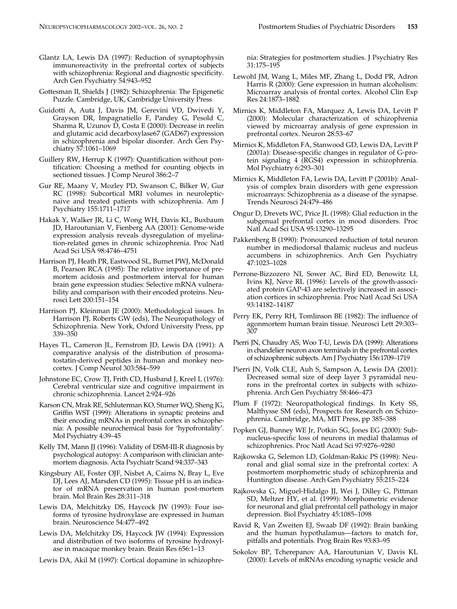- Glantz LA, Lewis DA (1997): Reduction of synaptophysin immunoreactivity in the prefrontal cortex of subjects with schizophrenia: Regional and diagnostic specificity. Arch Gen Psychiatry 54:943–952
- Gottesman II, Shields J (1982): Schizophrenia: The Epigenetic Puzzle. Cambridge, UK, Cambridge University Press
- Guidotti A, Auta J, Davis JM, Gerevini VD, Dwivedi Y, Grayson DR, Impagnatiello F, Pandey G, Pesold C, Sharma R, Uzunov D, Costa E (2000): Decrease in reelin and glutamic acid decarboxylase67 (GAD67) expression in schizophrenia and bipolar disorder. Arch Gen Psychiatry 57:1061–1069
- Guillery RW, Herrup K (1997): Quantification without pontification: Choosing a method for counting objects in sectioned tissues. J Comp Neurol 386:2–7
- Gur RE, Maany V, Mozley PD, Swanson C, Bilker W, Gur RC (1998): Subcortical MRI volumes in neurolepticnaive and treated patients with schizophrenia. Am J Psychiatry 155:1711–1717
- Hakak Y, Walker JR, Li C, Wong WH, Davis KL, Buxbaum JD, Haroutunian V, Fienberg AA (2001): Genome-wide expression analysis reveals dysregulation of myelination-related genes in chronic schizophrenia. Proc Natl Acad Sci USA 98:4746–4751
- Harrison PJ, Heath PR, Eastwood SL, Burnet PWJ, McDonald B, Pearson RCA (1995): The relative importance of premortem acidosis and postmortem interval for human brain gene expression studies: Selective mRNA vulnerability and comparison with their encoded proteins. Neurosci Lett 200:151–154
- Harrison PJ, Kleinman JE (2000): Methodological issues. In Harrison PJ, Roberts GW (eds), The Neuropathology of Schizophrenia. New York, Oxford University Press, pp 339–350
- Hayes TL, Cameron JL, Fernstrom JD, Lewis DA (1991): A comparative analysis of the distribution of prosomatostatin-derived peptides in human and monkey neocortex. J Comp Neurol 303:584–599
- Johnstone EC, Crow TJ, Frith CD, Husband J, Kreel L (1976): Cerebral ventricular size and cognitive impairment in chronic schizophrenia. Lancet 2:924–926
- Karson CN, Mrak RE, Schluterman KO, Sturner WQ, Sheng JG, Griffin WST (1999): Alterations in synaptic proteins and their encoding mRNAs in prefrontal cortex in schizophenia: A possible neurochemical basis for 'hypofrontality'. Mol Psychiatry 4:39–45
- Kelly TM, Mann JJ (1996): Validity of DSM-III-R diagnosis by psychological autopsy: A comparison with clinician antemortem diagnosis. Acta Psychiatr Scand 94:337–343
- Kingsbury AE, Foster OJF, Nisbet A, Cairns N, Bray L, Eve DJ, Lees AJ, Marsden CD (1995): Tissue pH is an indicator of mRNA preservation in human post-mortem brain. Mol Brain Res 28:311–318
- Lewis DA, Melchitzky DS, Haycock JW (1993): Four isoforms of tyrosine hydroxylase are expressed in human brain. Neuroscience 54:477–492
- Lewis DA, Melchitzky DS, Haycock JW (1994): Expression and distribution of two isoforms of tyrosine hydroxylase in macaque monkey brain. Brain Res 656:1–13

Lewis DA, Akil M (1997): Cortical dopamine in schizophre-

nia: Strategies for postmortem studies. J Psychiatry Res 31:175–195

- Lewohl JM, Wang L, Miles MF, Zhang L, Dodd PR, Adron Harris R (2000): Gene expression in human alcoholism: Microarray analysis of frontal cortex. Alcohol Clin Exp Res 24:1873–1882
- Mirnics K, Middleton FA, Marquez A, Lewis DA, Levitt P (2000): Molecular characterization of schizophrenia viewed by microarray analysis of gene expression in prefrontal cortex. Neuron 28:53–67
- Mirnics K, Middleton FA, Stanwood GD, Lewis DA, Levitt P (2001a): Disease-specific changes in regulator of G-protein signaling 4 (RGS4) expression in schizophrenia. Mol Psychiatry 6:293–301
- Mirnics K, Middleton FA, Lewis DA, Levitt P (2001b): Analysis of complex brain disorders with gene expression microarrays: Schizophrenia as a disease of the synapse. Trends Neurosci 24:479–486
- Ongur D, Drevets WC, Price JL (1998): Glial reduction in the subgenual prefrontal cortex in mood disorders. Proc Natl Acad Sci USA 95:13290–13295
- Pakkenberg B (1990): Pronounced reduction of total neuron number in mediodorsal thalamic nucleus and nucleus accumbens in schizophrenics. Arch Gen Psychiatry 47:1023–1028
- Perrone-Bizzozero NI, Sower AC, Bird ED, Benowitz LI, Ivins KJ, Neve RL (1996): Levels of the growth-associated protein GAP-43 are selectively increased in association cortices in schizophrenia. Proc Natl Acad Sci USA 93:14182–14187
- Perry EK, Perry RH, Tomlinson BE (1982): The influence of agonmortem human brain tissue. Neurosci Lett 29:303– 307
- Pierri JN, Chaudry AS, Woo T-U, Lewis DA (1999): Alterations in chandelier neuron axon terminals in the prefrontal cortex of schizophrenic subjects. Am J Psychiatry 156:1709–1719
- Pierri JN, Volk CLE, Auh S, Sampson A, Lewis DA (2001): Decreased somal size of deep layer 3 pyramidal neurons in the prefrontal cortex in subjects with schizophrenia. Arch Gen Psychiatry 58:466–473
- Plum F (1972): Neuropathological findings. In Kety SS, Malthysse SM (eds), Prospects for Research on Schizophrenia. Cambridge, MA, MIT Press, pp 385–388
- Popken GJ, Bunney WE Jr, Potkin SG, Jones EG (2000): Subnucleus-specific loss of neurons in medial thalamus of schizophrenics. Proc Natl Acad Sci 97:9276–9280
- Rajkowska G, Selemon LD, Goldman-Rakic PS (1998): Neuronal and glial somal size in the prefrontal cortex: A postmortem morphometric study of schizophrenia and Huntington disease. Arch Gen Psychiatry 55:215–224
- Rajkowska G, Miguel-Hidalgo JJ, Wei J, Dilley G, Pittman SD, Meltzer HY, et al. (1999): Morphometric evidence for neuronal and glial prefrontal cell pathology in major depression. Biol Psychiatry 45:1085–1098
- Ravid R, Van Zweiten EJ, Swaab DF (1992): Brain banking and the human hypothalamus—factors to match for, pitfalls and potentials. Prog Brain Res 93:83–95
- Sokolov BP, Tcherepanov AA, Haroutunian V, Davis KL (2000): Levels of mRNAs encoding synaptic vesicle and